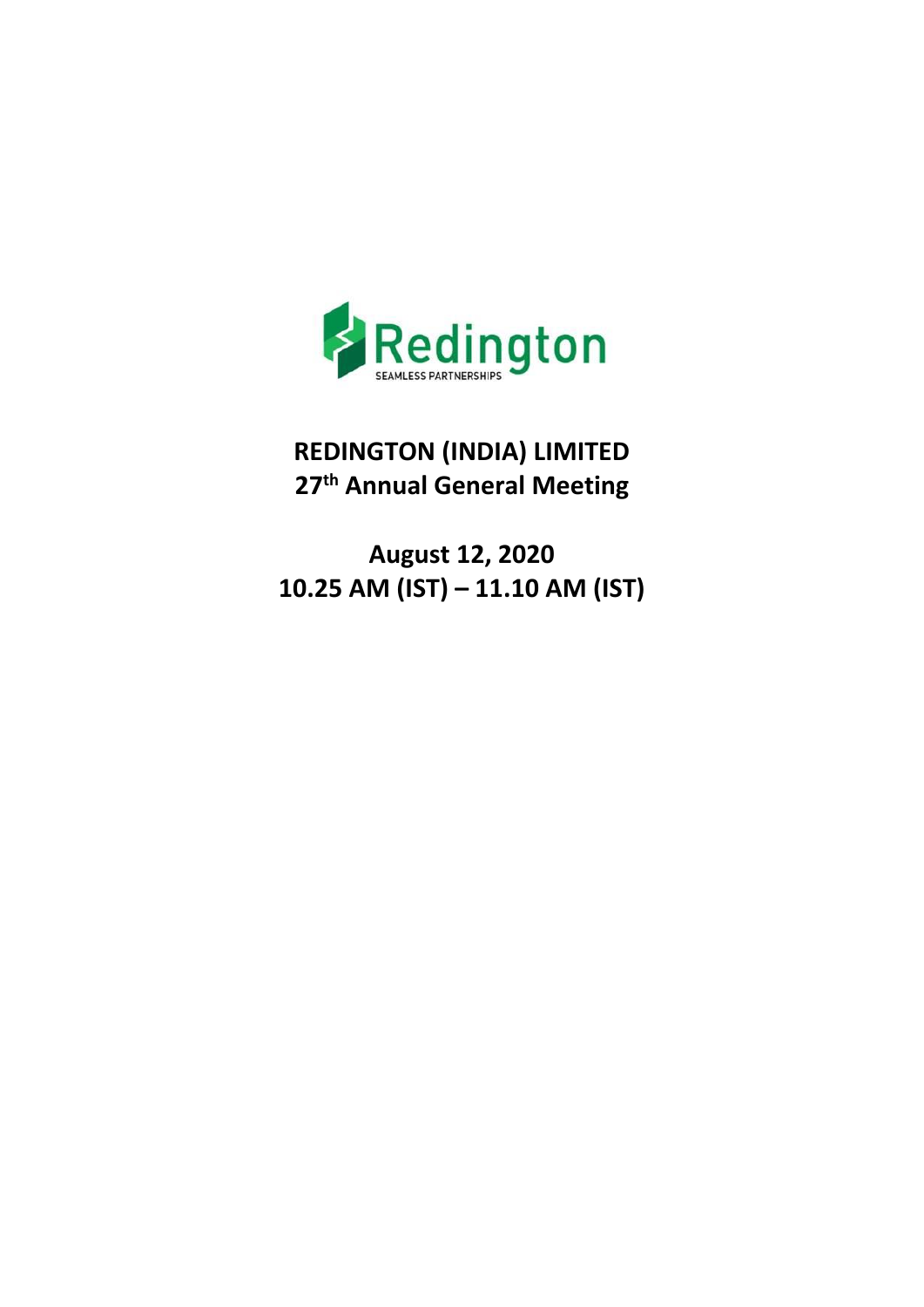

# **REDINGTON (INDIA) LIMITED 27th Annual General Meeting**

**August 12, 2020 10.25 AM (IST) – 11.10 AM (IST)**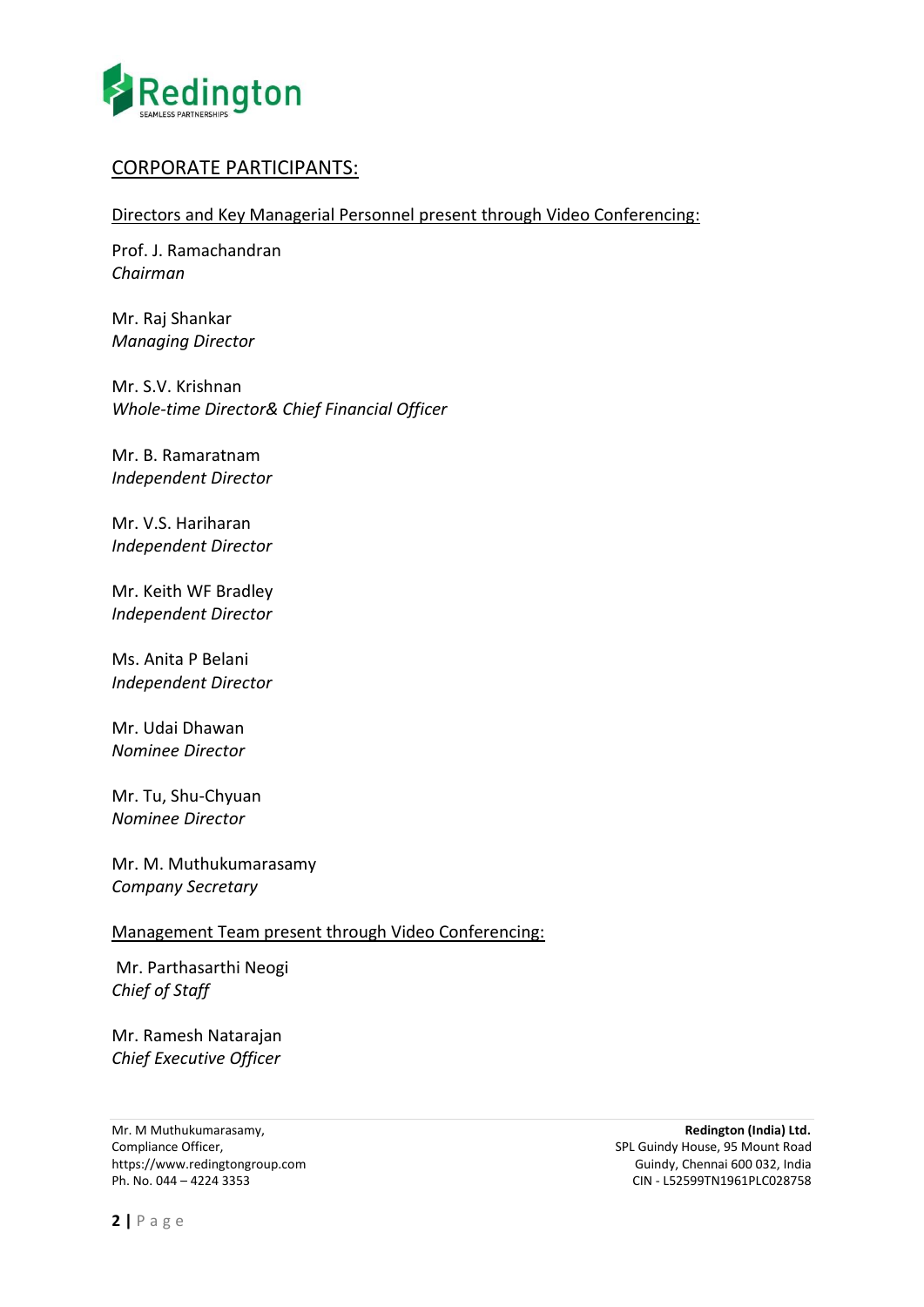

## CORPORATE PARTICIPANTS:

Directors and Key Managerial Personnel present through Video Conferencing:

Prof. J. Ramachandran *Chairman*

Mr. Raj Shankar *Managing Director* 

Mr. S.V. Krishnan *Whole-time Director& Chief Financial Officer*

Mr. B. Ramaratnam *Independent Director* 

Mr. V.S. Hariharan *Independent Director* 

Mr. Keith WF Bradley *Independent Director*

Ms. Anita P Belani *Independent Director*

Mr. Udai Dhawan *Nominee Director*

Mr. Tu, Shu-Chyuan *Nominee Director* 

Mr. M. Muthukumarasamy *Company Secretary* 

## Management Team present through Video Conferencing:

Mr. Parthasarthi Neogi *Chief of Staff*

Mr. Ramesh Natarajan *Chief Executive Officer* 

Mr. M Muthukumarasamy, **Redington (India) Ltd.** Compliance Officer,<br>
SPL Guindy House, 95 Mount Road<br>
Suindy, Chennai 600 032, India<br>
Guindy, Chennai 600 032, India https://www.redingtongroup.com<br>Ph. No. 044 – 4224 3353

Ph. No. 044 – 4224 3353 CIN - L52599TN1961PLC028758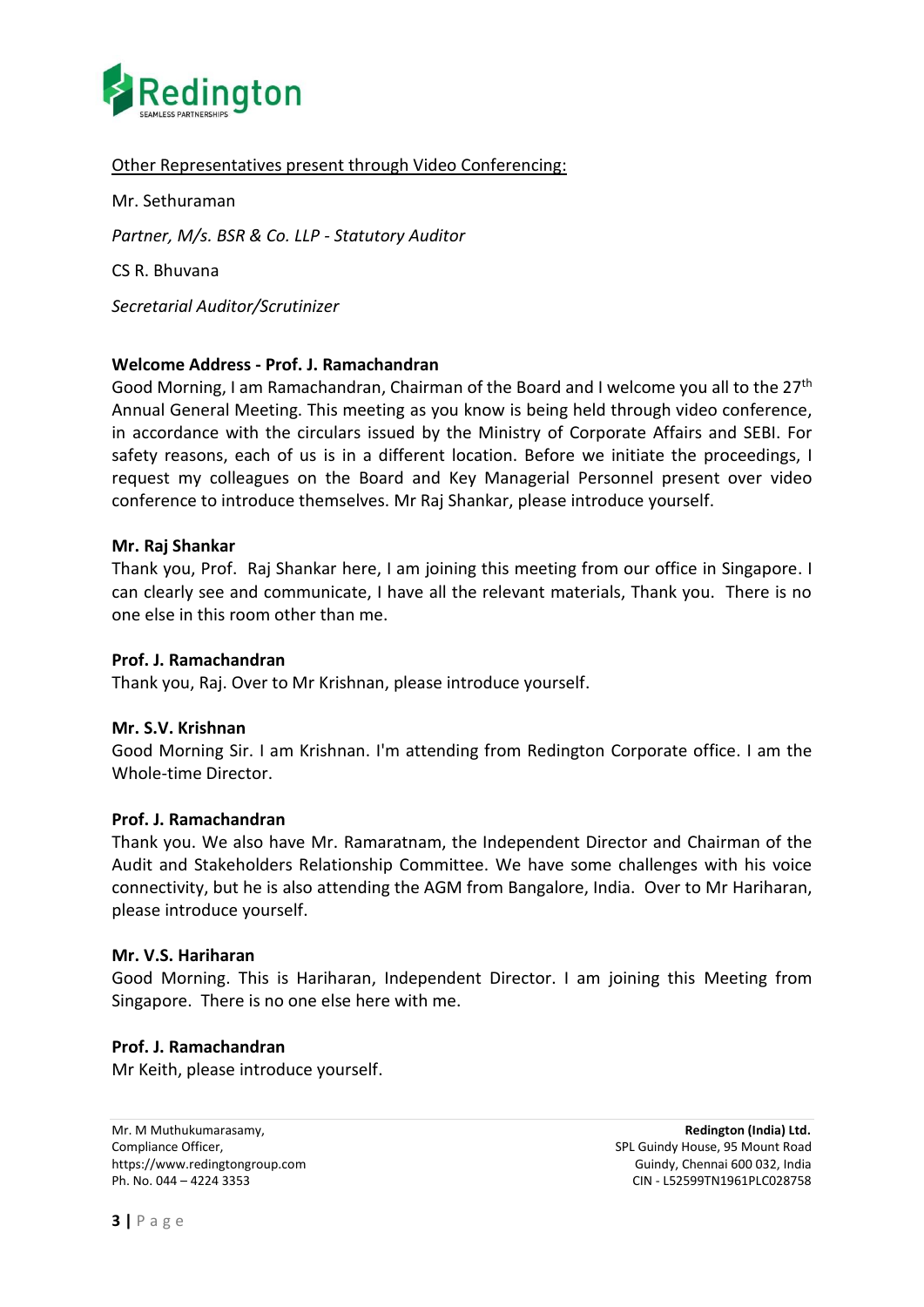

## Other Representatives present through Video Conferencing:

Mr. Sethuraman *Partner, M/s. BSR & Co. LLP - Statutory Auditor*  CS R. Bhuvana

*Secretarial Auditor/Scrutinizer* 

## **Welcome Address - Prof. J. Ramachandran**

Good Morning, I am Ramachandran, Chairman of the Board and I welcome you all to the 27th Annual General Meeting. This meeting as you know is being held through video conference, in accordance with the circulars issued by the Ministry of Corporate Affairs and SEBI. For safety reasons, each of us is in a different location. Before we initiate the proceedings, I request my colleagues on the Board and Key Managerial Personnel present over video conference to introduce themselves. Mr Raj Shankar, please introduce yourself.

#### **Mr. Raj Shankar**

Thank you, Prof. Raj Shankar here, I am joining this meeting from our office in Singapore. I can clearly see and communicate, I have all the relevant materials, Thank you. There is no one else in this room other than me.

#### **Prof. J. Ramachandran**

Thank you, Raj. Over to Mr Krishnan, please introduce yourself.

#### **Mr. S.V. Krishnan**

Good Morning Sir. I am Krishnan. I'm attending from Redington Corporate office. I am the Whole-time Director.

#### **Prof. J. Ramachandran**

Thank you. We also have Mr. Ramaratnam, the Independent Director and Chairman of the Audit and Stakeholders Relationship Committee. We have some challenges with his voice connectivity, but he is also attending the AGM from Bangalore, India. Over to Mr Hariharan, please introduce yourself.

#### **Mr. V.S. Hariharan**

Good Morning. This is Hariharan, Independent Director. I am joining this Meeting from Singapore. There is no one else here with me.

## **Prof. J. Ramachandran**

Mr Keith, please introduce yourself.

Mr. M Muthukumarasamy, **Redington (India) Ltd.** Compliance Officer, Split Guindy House, 95 Mount Road https://www.redingtongroup.com example and the set of the Guindy, Chennai 600 032, India Ph. No. 044 – 4224 3353 CIN - L52599TN1961PLC028758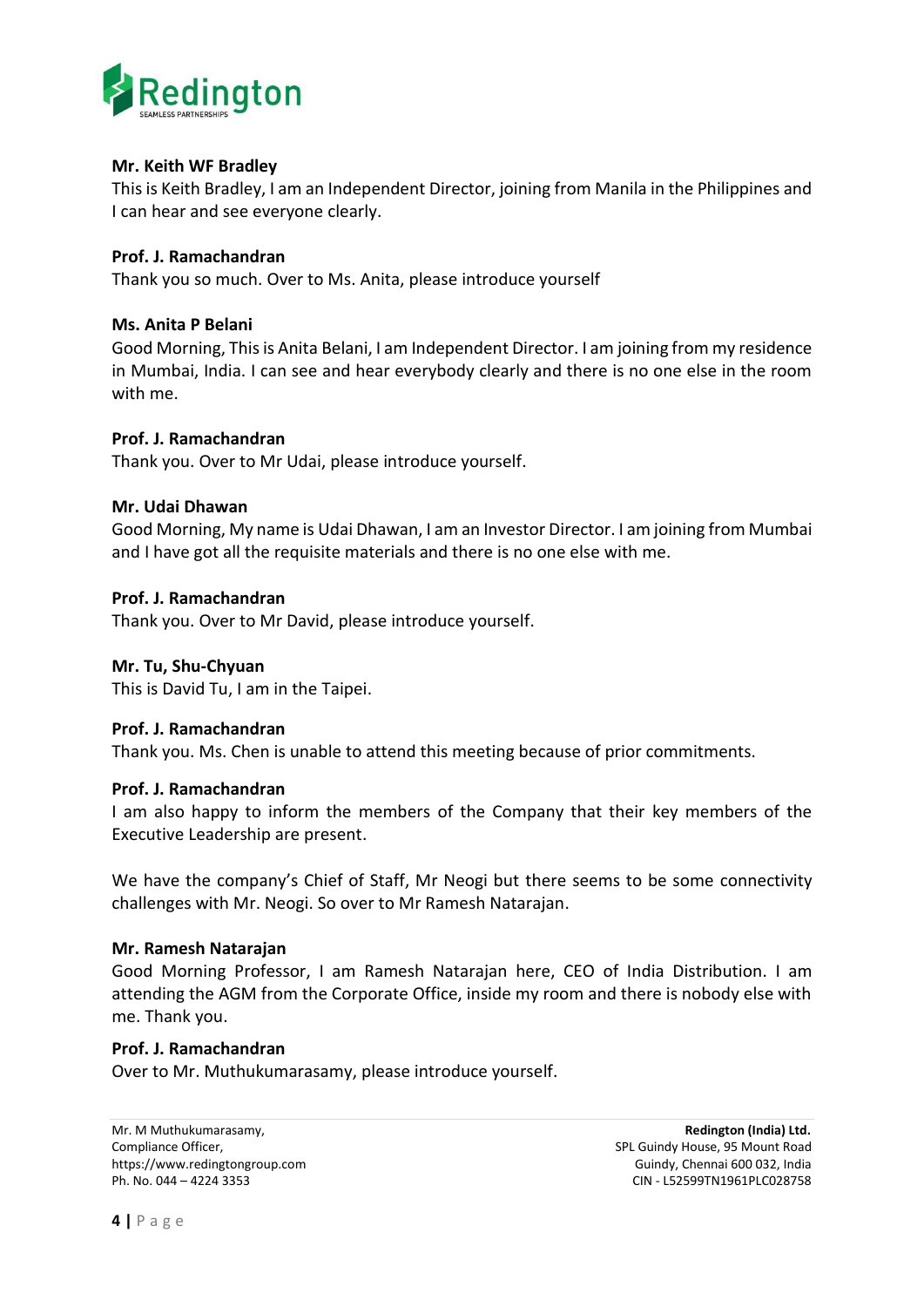

## **Mr. Keith WF Bradley**

This is Keith Bradley, I am an Independent Director, joining from Manila in the Philippines and I can hear and see everyone clearly.

## **Prof. J. Ramachandran**

Thank you so much. Over to Ms. Anita, please introduce yourself

## **Ms. Anita P Belani**

Good Morning, This is Anita Belani, I am Independent Director. I am joining from my residence in Mumbai, India. I can see and hear everybody clearly and there is no one else in the room with me.

## **Prof. J. Ramachandran**

Thank you. Over to Mr Udai, please introduce yourself.

#### **Mr. Udai Dhawan**

Good Morning, My name is Udai Dhawan, I am an Investor Director. I am joining from Mumbai and I have got all the requisite materials and there is no one else with me.

## **Prof. J. Ramachandran**

Thank you. Over to Mr David, please introduce yourself.

#### **Mr. Tu, Shu-Chyuan**

This is David Tu, I am in the Taipei.

#### **Prof. J. Ramachandran**

Thank you. Ms. Chen is unable to attend this meeting because of prior commitments.

#### **Prof. J. Ramachandran**

I am also happy to inform the members of the Company that their key members of the Executive Leadership are present.

We have the company's Chief of Staff, Mr Neogi but there seems to be some connectivity challenges with Mr. Neogi. So over to Mr Ramesh Natarajan.

#### **Mr. Ramesh Natarajan**

Good Morning Professor, I am Ramesh Natarajan here, CEO of India Distribution. I am attending the AGM from the Corporate Office, inside my room and there is nobody else with me. Thank you.

#### **Prof. J. Ramachandran**

Over to Mr. Muthukumarasamy, please introduce yourself.

Mr. M Muthukumarasamy, **Redington (India) Ltd.** Compliance Officer, Split Guindy House, 95 Mount Road https://www.redingtongroup.com example and the state of the Guindy, Chennai 600 032, India<br>Ph. No. 044 – 4224 3353 CIN - L52599TN1961PLC028758 CIN - L52599TN1961PLC028758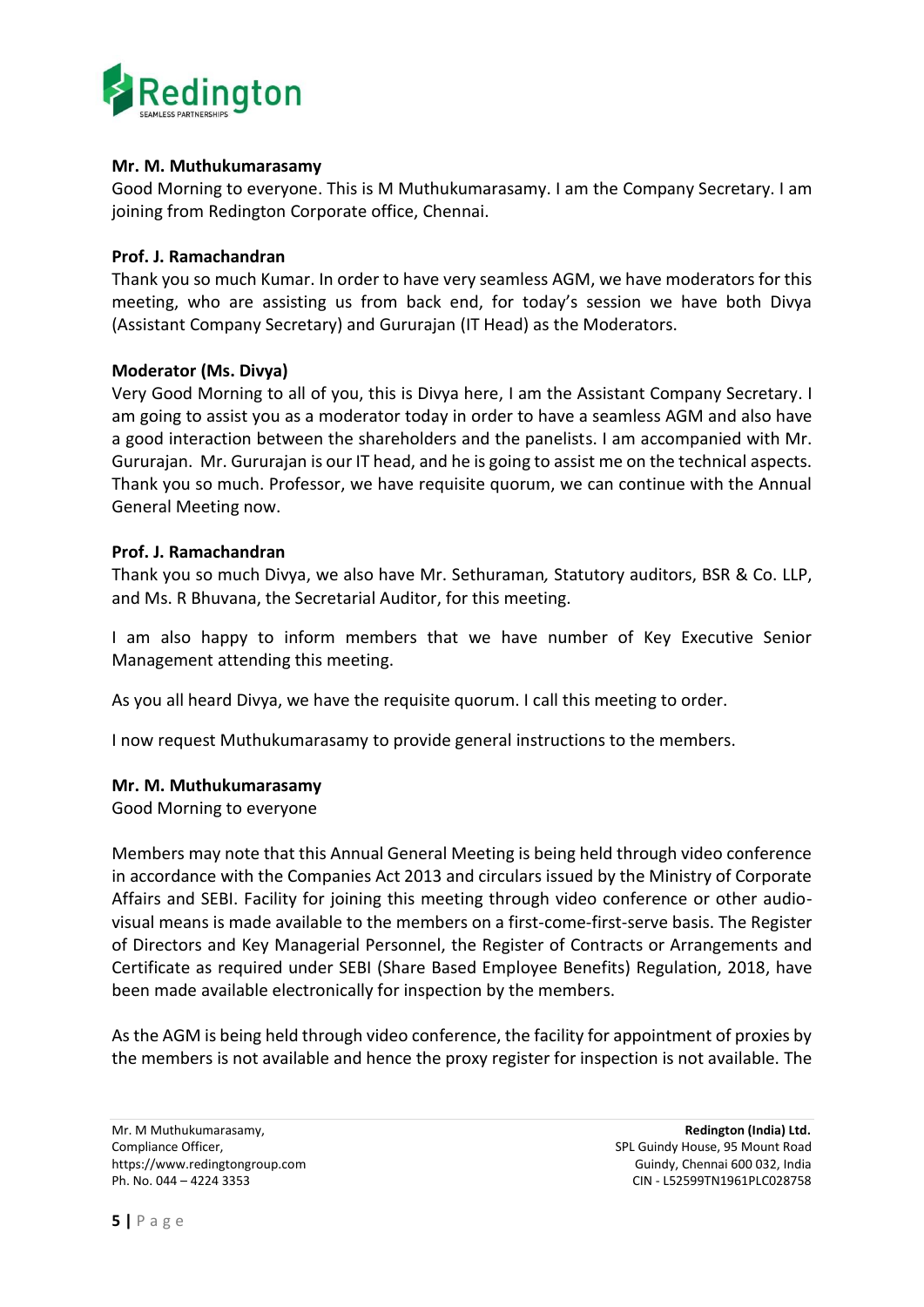

## **Mr. M. Muthukumarasamy**

Good Morning to everyone. This is M Muthukumarasamy. I am the Company Secretary. I am joining from Redington Corporate office, Chennai.

## **Prof. J. Ramachandran**

Thank you so much Kumar. In order to have very seamless AGM, we have moderators for this meeting, who are assisting us from back end, for today's session we have both Divya (Assistant Company Secretary) and Gururajan (IT Head) as the Moderators.

## **Moderator (Ms. Divya)**

Very Good Morning to all of you, this is Divya here, I am the Assistant Company Secretary. I am going to assist you as a moderator today in order to have a seamless AGM and also have a good interaction between the shareholders and the panelists. I am accompanied with Mr. Gururajan. Mr. Gururajan is our IT head, and he is going to assist me on the technical aspects. Thank you so much. Professor, we have requisite quorum, we can continue with the Annual General Meeting now.

## **Prof. J. Ramachandran**

Thank you so much Divya, we also have Mr. Sethuraman*,* Statutory auditors, BSR & Co. LLP, and Ms. R Bhuvana, the Secretarial Auditor, for this meeting.

I am also happy to inform members that we have number of Key Executive Senior Management attending this meeting.

As you all heard Divya, we have the requisite quorum. I call this meeting to order.

I now request Muthukumarasamy to provide general instructions to the members.

## **Mr. M. Muthukumarasamy**

Good Morning to everyone

Members may note that this Annual General Meeting is being held through video conference in accordance with the Companies Act 2013 and circulars issued by the Ministry of Corporate Affairs and SEBI. Facility for joining this meeting through video conference or other audiovisual means is made available to the members on a first-come-first-serve basis. The Register of Directors and Key Managerial Personnel, the Register of Contracts or Arrangements and Certificate as required under SEBI (Share Based Employee Benefits) Regulation, 2018, have been made available electronically for inspection by the members.

As the AGM is being held through video conference, the facility for appointment of proxies by the members is not available and hence the proxy register for inspection is not available. The

Mr. M Muthukumarasamy, **Redington (India) Ltd.**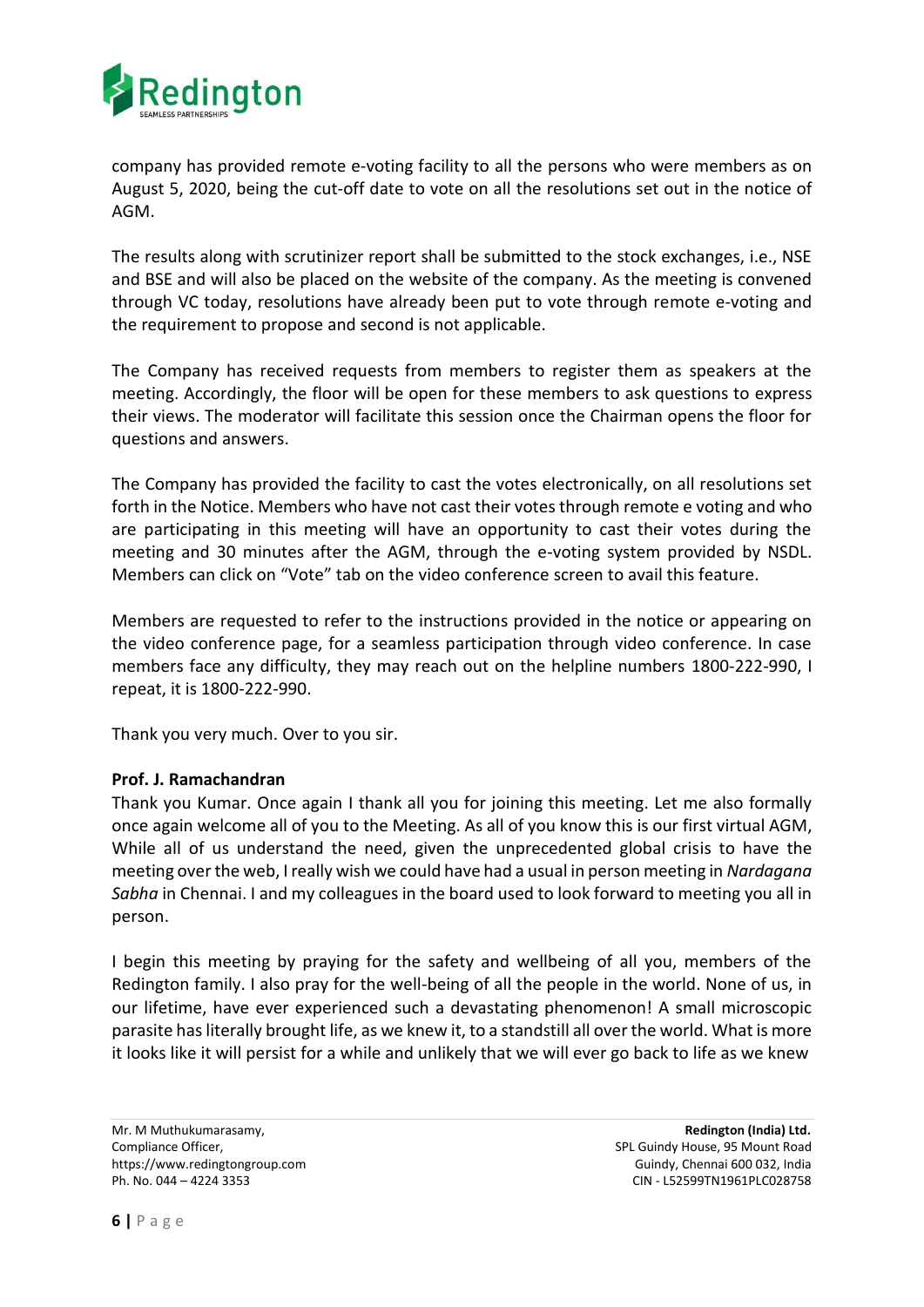

company has provided remote e‐voting facility to all the persons who were members as on August 5, 2020, being the cut-off date to vote on all the resolutions set out in the notice of AGM.

The results along with scrutinizer report shall be submitted to the stock exchanges, i.e., NSE and BSE and will also be placed on the website of the company. As the meeting is convened through VC today, resolutions have already been put to vote through remote e‐voting and the requirement to propose and second is not applicable.

The Company has received requests from members to register them as speakers at the meeting. Accordingly, the floor will be open for these members to ask questions to express their views. The moderator will facilitate this session once the Chairman opens the floor for questions and answers.

The Company has provided the facility to cast the votes electronically, on all resolutions set forth in the Notice. Members who have not cast their votes through remote e voting and who are participating in this meeting will have an opportunity to cast their votes during the meeting and 30 minutes after the AGM, through the e-voting system provided by NSDL. Members can click on "Vote" tab on the video conference screen to avail this feature.

Members are requested to refer to the instructions provided in the notice or appearing on the video conference page, for a seamless participation through video conference. In case members face any difficulty, they may reach out on the helpline numbers 1800-222-990, I repeat, it is 1800-222-990.

Thank you very much. Over to you sir.

## **Prof. J. Ramachandran**

Thank you Kumar. Once again I thank all you for joining this meeting. Let me also formally once again welcome all of you to the Meeting. As all of you know this is our first virtual AGM, While all of us understand the need, given the unprecedented global crisis to have the meeting over the web, I really wish we could have had a usual in person meeting in *Nardagana Sabha* in Chennai. I and my colleagues in the board used to look forward to meeting you all in person.

I begin this meeting by praying for the safety and wellbeing of all you, members of the Redington family. I also pray for the well-being of all the people in the world. None of us, in our lifetime, have ever experienced such a devastating phenomenon! A small microscopic parasite has literally brought life, as we knew it, to a standstill all over the world. What is more it looks like it will persist for a while and unlikely that we will ever go back to life as we knew

Mr. M Muthukumarasamy, **Redington (India) Ltd.**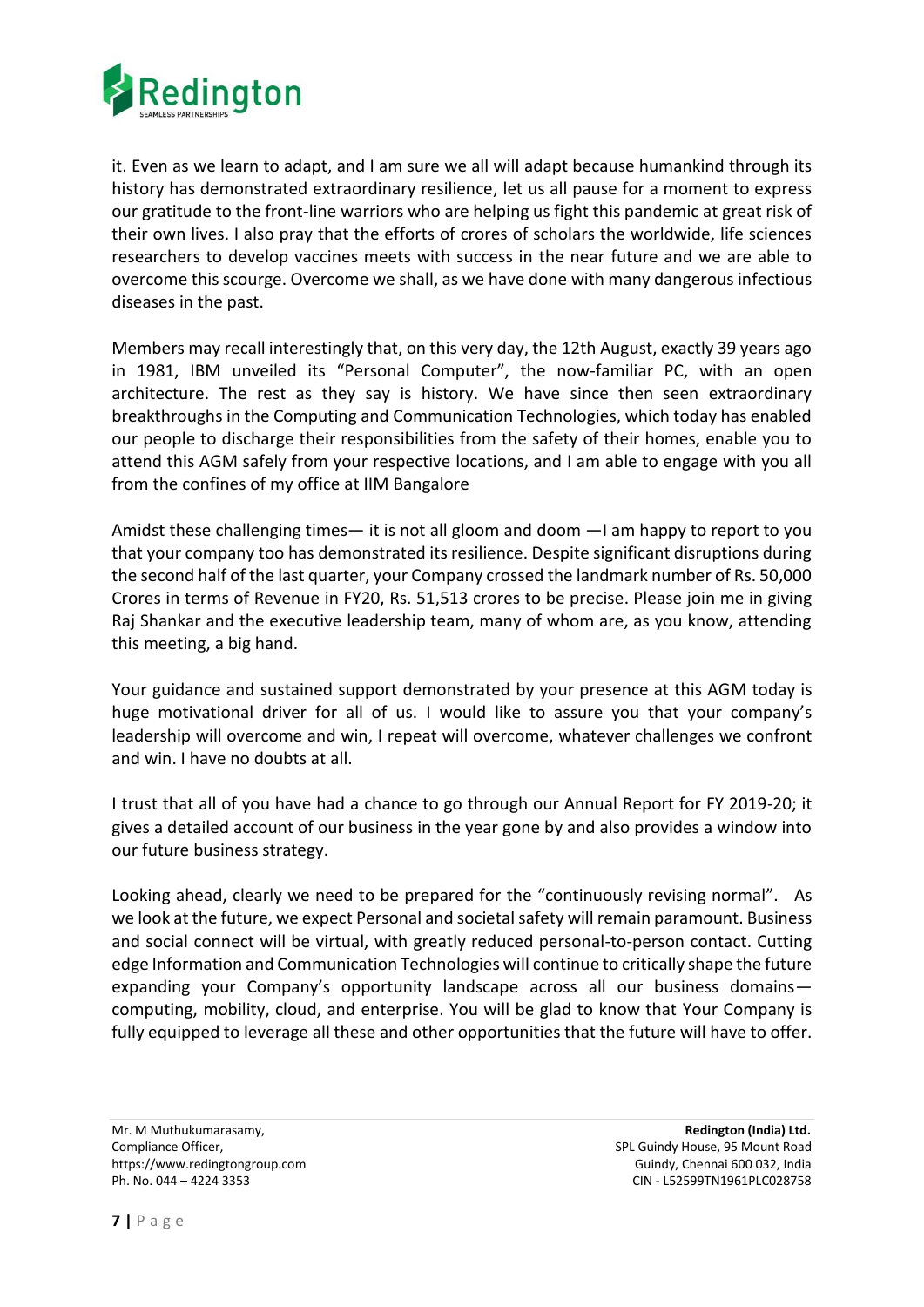

it. Even as we learn to adapt, and I am sure we all will adapt because humankind through its history has demonstrated extraordinary resilience, let us all pause for a moment to express our gratitude to the front-line warriors who are helping us fight this pandemic at great risk of their own lives. I also pray that the efforts of crores of scholars the worldwide, life sciences researchers to develop vaccines meets with success in the near future and we are able to overcome this scourge. Overcome we shall, as we have done with many dangerous infectious diseases in the past.

Members may recall interestingly that, on this very day, the 12th August, exactly 39 years ago in 1981, IBM unveiled its "Personal Computer", the now-familiar PC, with an open architecture. The rest as they say is history. We have since then seen extraordinary breakthroughs in the Computing and Communication Technologies, which today has enabled our people to discharge their responsibilities from the safety of their homes, enable you to attend this AGM safely from your respective locations, and I am able to engage with you all from the confines of my office at IIM Bangalore

Amidst these challenging times— it is not all gloom and doom —I am happy to report to you that your company too has demonstrated its resilience. Despite significant disruptions during the second half of the last quarter, your Company crossed the landmark number of Rs. 50,000 Crores in terms of Revenue in FY20, Rs. 51,513 crores to be precise. Please join me in giving Raj Shankar and the executive leadership team, many of whom are, as you know, attending this meeting, a big hand.

Your guidance and sustained support demonstrated by your presence at this AGM today is huge motivational driver for all of us. I would like to assure you that your company's leadership will overcome and win, I repeat will overcome, whatever challenges we confront and win. I have no doubts at all.

I trust that all of you have had a chance to go through our Annual Report for FY 2019-20; it gives a detailed account of our business in the year gone by and also provides a window into our future business strategy.

Looking ahead, clearly we need to be prepared for the "continuously revising normal". As we look at the future, we expect Personal and societal safety will remain paramount. Business and social connect will be virtual, with greatly reduced personal-to-person contact. Cutting edge Information and Communication Technologies will continue to critically shape the future expanding your Company's opportunity landscape across all our business domains computing, mobility, cloud, and enterprise. You will be glad to know that Your Company is fully equipped to leverage all these and other opportunities that the future will have to offer.

Mr. M Muthukumarasamy, **Redington (India) Ltd.**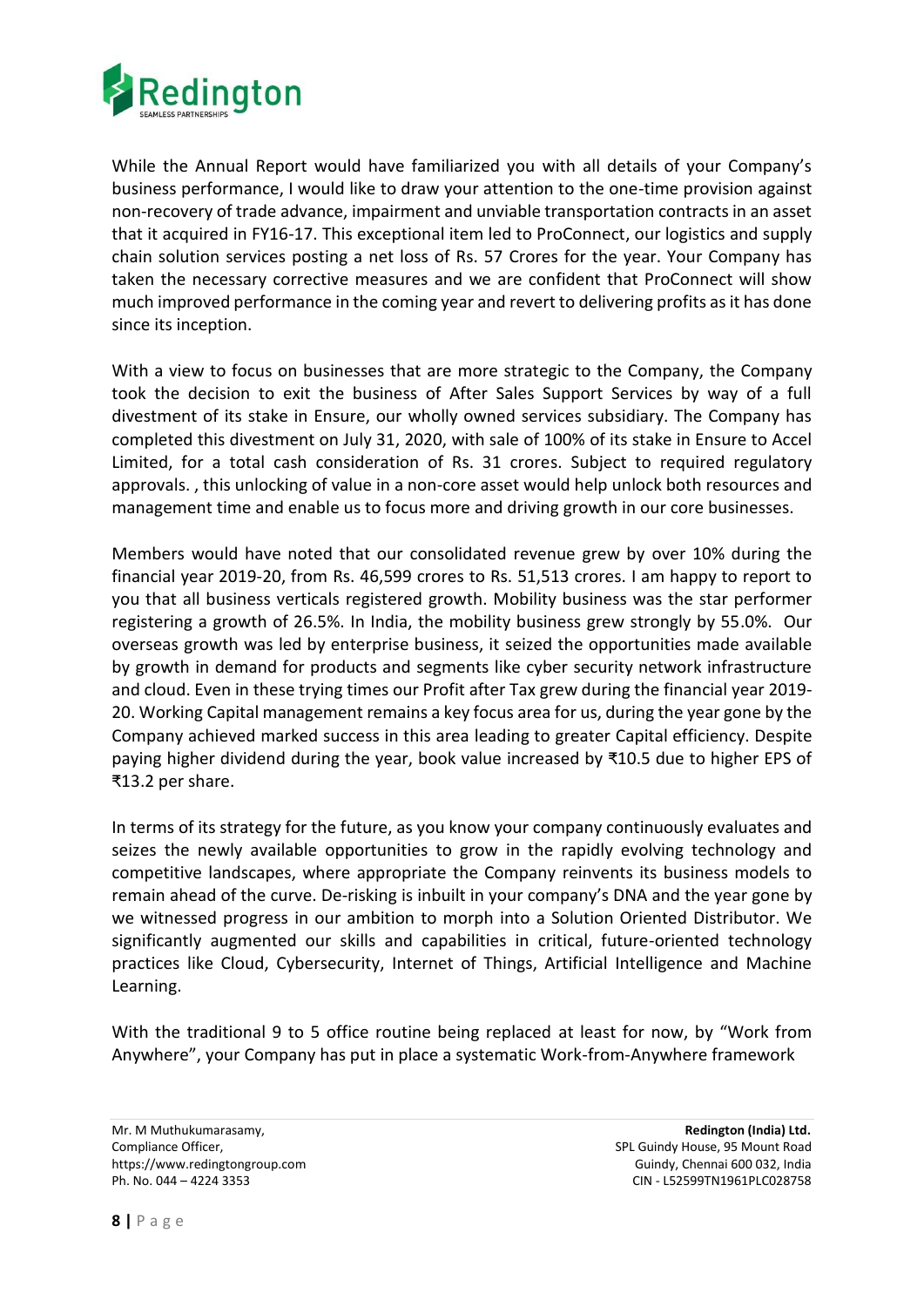

While the Annual Report would have familiarized you with all details of your Company's business performance, I would like to draw your attention to the one-time provision against non-recovery of trade advance, impairment and unviable transportation contracts in an asset that it acquired in FY16-17. This exceptional item led to ProConnect, our logistics and supply chain solution services posting a net loss of Rs. 57 Crores for the year. Your Company has taken the necessary corrective measures and we are confident that ProConnect will show much improved performance in the coming year and revert to delivering profits as it has done since its inception.

With a view to focus on businesses that are more strategic to the Company, the Company took the decision to exit the business of After Sales Support Services by way of a full divestment of its stake in Ensure, our wholly owned services subsidiary. The Company has completed this divestment on July 31, 2020, with sale of 100% of its stake in Ensure to Accel Limited, for a total cash consideration of Rs. 31 crores. Subject to required regulatory approvals. , this unlocking of value in a non-core asset would help unlock both resources and management time and enable us to focus more and driving growth in our core businesses.

Members would have noted that our consolidated revenue grew by over 10% during the financial year 2019-20, from Rs. 46,599 crores to Rs. 51,513 crores. I am happy to report to you that all business verticals registered growth. Mobility business was the star performer registering a growth of 26.5%. In India, the mobility business grew strongly by 55.0%. Our overseas growth was led by enterprise business, it seized the opportunities made available by growth in demand for products and segments like cyber security network infrastructure and cloud. Even in these trying times our Profit after Tax grew during the financial year 2019- 20. Working Capital management remains a key focus area for us, during the year gone by the Company achieved marked success in this area leading to greater Capital efficiency. Despite paying higher dividend during the year, book value increased by ₹10.5 due to higher EPS of ₹13.2 per share.

In terms of its strategy for the future, as you know your company continuously evaluates and seizes the newly available opportunities to grow in the rapidly evolving technology and competitive landscapes, where appropriate the Company reinvents its business models to remain ahead of the curve. De-risking is inbuilt in your company's DNA and the year gone by we witnessed progress in our ambition to morph into a Solution Oriented Distributor. We significantly augmented our skills and capabilities in critical, future-oriented technology practices like Cloud, Cybersecurity, Internet of Things, Artificial Intelligence and Machine Learning.

With the traditional 9 to 5 office routine being replaced at least for now, by "Work from Anywhere", your Company has put in place a systematic Work-from-Anywhere framework

Mr. M Muthukumarasamy, **Redington (India) Ltd.**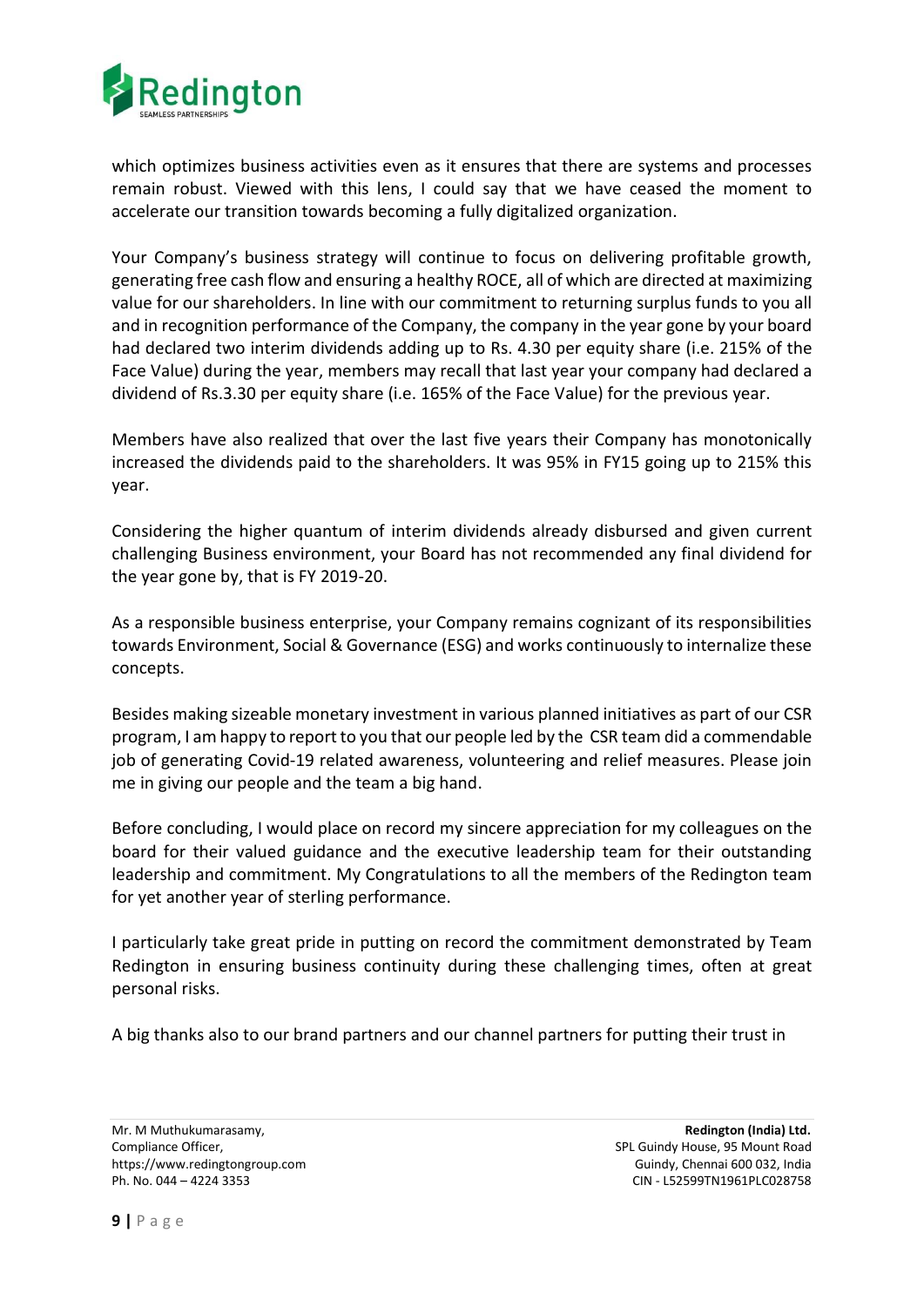

which optimizes business activities even as it ensures that there are systems and processes remain robust. Viewed with this lens, I could say that we have ceased the moment to accelerate our transition towards becoming a fully digitalized organization.

Your Company's business strategy will continue to focus on delivering profitable growth, generating free cash flow and ensuring a healthy ROCE, all of which are directed at maximizing value for our shareholders. In line with our commitment to returning surplus funds to you all and in recognition performance of the Company, the company in the year gone by your board had declared two interim dividends adding up to Rs. 4.30 per equity share (i.e. 215% of the Face Value) during the year, members may recall that last year your company had declared a dividend of Rs.3.30 per equity share (i.e. 165% of the Face Value) for the previous year.

Members have also realized that over the last five years their Company has monotonically increased the dividends paid to the shareholders. It was 95% in FY15 going up to 215% this year.

Considering the higher quantum of interim dividends already disbursed and given current challenging Business environment, your Board has not recommended any final dividend for the year gone by, that is FY 2019-20.

As a responsible business enterprise, your Company remains cognizant of its responsibilities towards Environment, Social & Governance (ESG) and works continuously to internalize these concepts.

Besides making sizeable monetary investment in various planned initiatives as part of our CSR program, I am happy to report to you that our people led by the CSR team did a commendable job of generating Covid-19 related awareness, volunteering and relief measures. Please join me in giving our people and the team a big hand.

Before concluding, I would place on record my sincere appreciation for my colleagues on the board for their valued guidance and the executive leadership team for their outstanding leadership and commitment. My Congratulations to all the members of the Redington team for yet another year of sterling performance.

I particularly take great pride in putting on record the commitment demonstrated by Team Redington in ensuring business continuity during these challenging times, often at great personal risks.

A big thanks also to our brand partners and our channel partners for putting their trust in

Mr. M Muthukumarasamy, **Redington (India) Ltd.**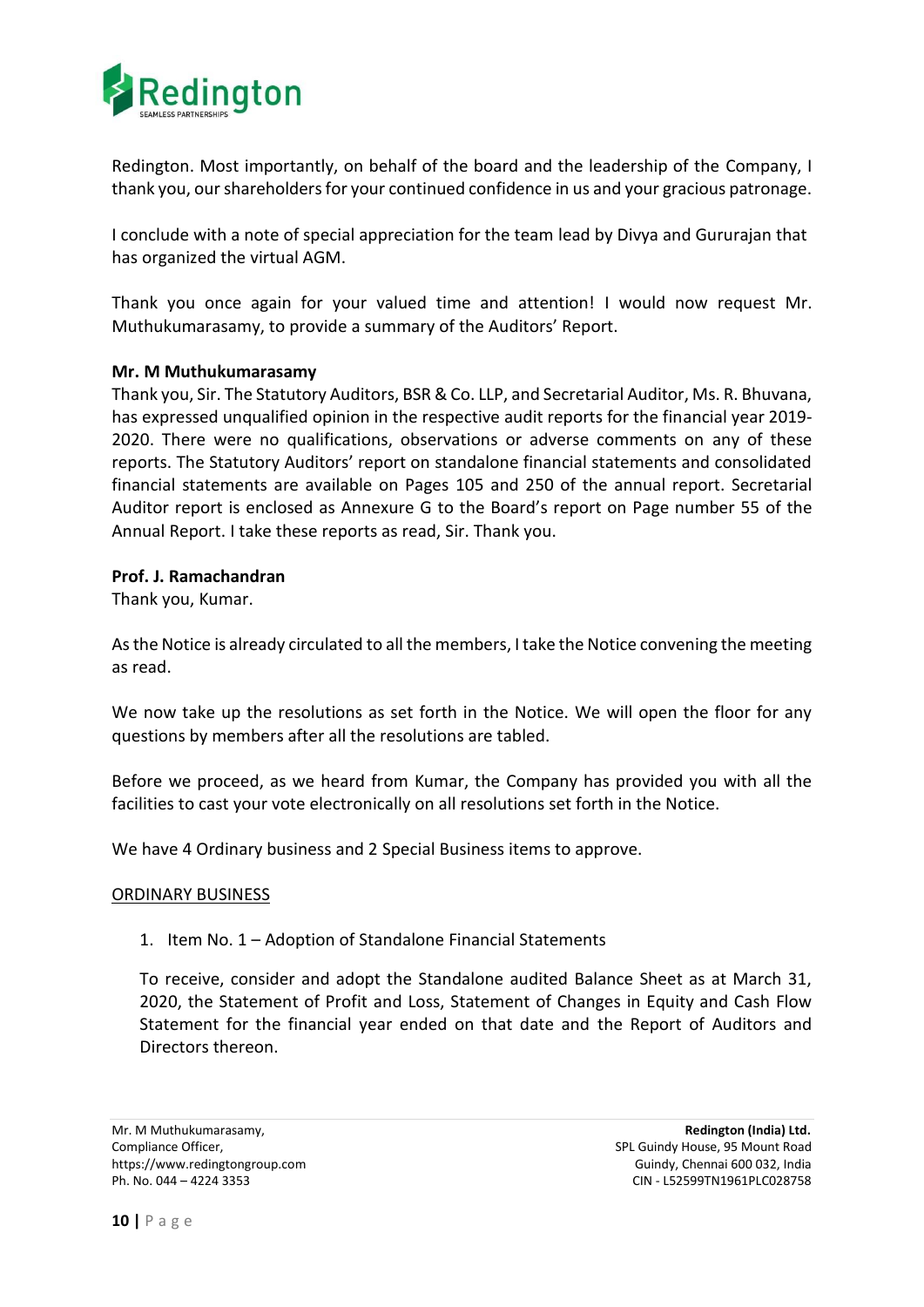

Redington. Most importantly, on behalf of the board and the leadership of the Company, I thank you, our shareholders for your continued confidence in us and your gracious patronage.

I conclude with a note of special appreciation for the team lead by Divya and Gururajan that has organized the virtual AGM.

Thank you once again for your valued time and attention! I would now request Mr. Muthukumarasamy, to provide a summary of the Auditors' Report.

## **Mr. M Muthukumarasamy**

Thank you, Sir. The Statutory Auditors, BSR & Co. LLP, and Secretarial Auditor, Ms. R. Bhuvana, has expressed unqualified opinion in the respective audit reports for the financial year 2019- 2020. There were no qualifications, observations or adverse comments on any of these reports. The Statutory Auditors' report on standalone financial statements and consolidated financial statements are available on Pages 105 and 250 of the annual report. Secretarial Auditor report is enclosed as Annexure G to the Board's report on Page number 55 of the Annual Report. I take these reports as read, Sir. Thank you.

## **Prof. J. Ramachandran**

Thank you, Kumar.

As the Notice is already circulated to all the members, I take the Notice convening the meeting as read.

We now take up the resolutions as set forth in the Notice. We will open the floor for any questions by members after all the resolutions are tabled.

Before we proceed, as we heard from Kumar, the Company has provided you with all the facilities to cast your vote electronically on all resolutions set forth in the Notice.

We have 4 Ordinary business and 2 Special Business items to approve.

#### ORDINARY BUSINESS

1. Item No. 1 – Adoption of Standalone Financial Statements

To receive, consider and adopt the Standalone audited Balance Sheet as at March 31, 2020, the Statement of Profit and Loss, Statement of Changes in Equity and Cash Flow Statement for the financial year ended on that date and the Report of Auditors and Directors thereon.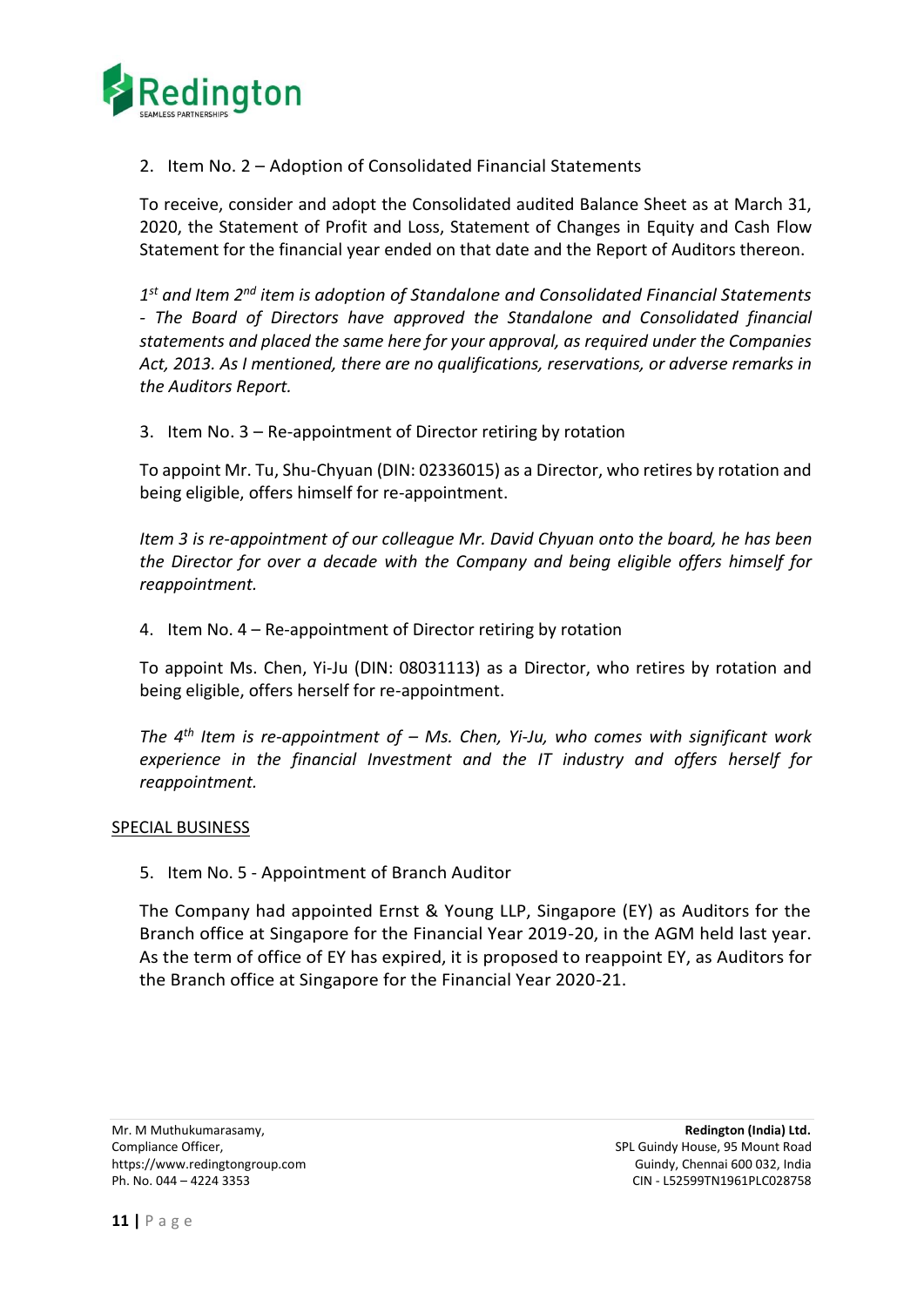

2. Item No. 2 – Adoption of Consolidated Financial Statements

To receive, consider and adopt the Consolidated audited Balance Sheet as at March 31, 2020, the Statement of Profit and Loss, Statement of Changes in Equity and Cash Flow Statement for the financial year ended on that date and the Report of Auditors thereon.

*1 st and Item 2nd item is adoption of Standalone and Consolidated Financial Statements - The Board of Directors have approved the Standalone and Consolidated financial statements and placed the same here for your approval, as required under the Companies Act, 2013. As I mentioned, there are no qualifications, reservations, or adverse remarks in the Auditors Report.*

3. Item No. 3 – Re-appointment of Director retiring by rotation

To appoint Mr. Tu, Shu-Chyuan (DIN: 02336015) as a Director, who retires by rotation and being eligible, offers himself for re-appointment.

*Item 3 is re-appointment of our colleague Mr. David Chyuan onto the board, he has been the Director for over a decade with the Company and being eligible offers himself for reappointment.*

4. Item No. 4 – Re-appointment of Director retiring by rotation

To appoint Ms. Chen, Yi-Ju (DIN: 08031113) as a Director, who retires by rotation and being eligible, offers herself for re-appointment.

*The 4th Item is re-appointment of – Ms. Chen, Yi-Ju, who comes with significant work experience in the financial Investment and the IT industry and offers herself for reappointment.*

#### SPECIAL BUSINESS

5. Item No. 5 - Appointment of Branch Auditor

The Company had appointed Ernst & Young LLP, Singapore (EY) as Auditors for the Branch office at Singapore for the Financial Year 2019-20, in the AGM held last year. As the term of office of EY has expired, it is proposed to reappoint EY, as Auditors for the Branch office at Singapore for the Financial Year 2020-21.

Mr. M Muthukumarasamy, **Redington (India) Ltd.**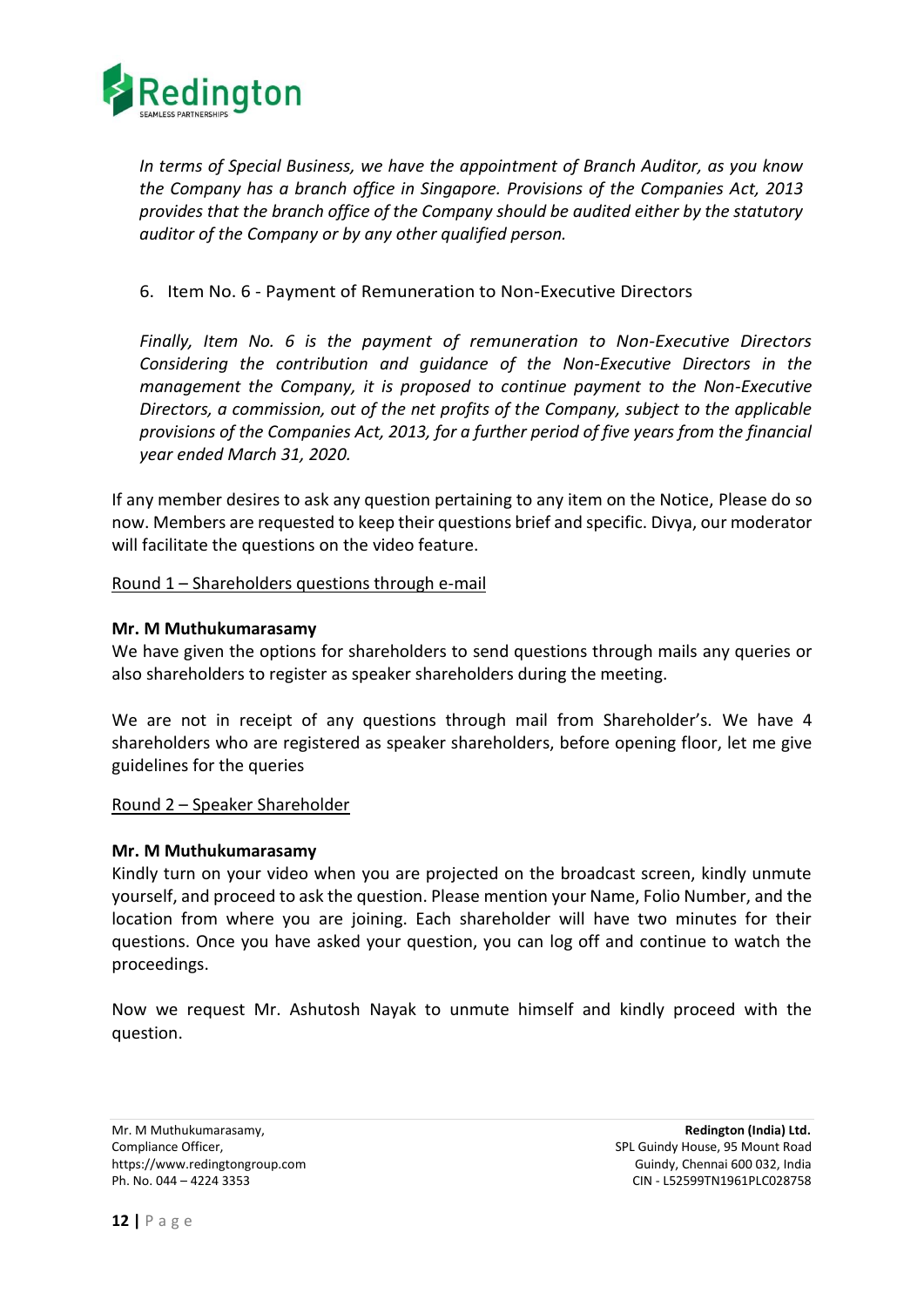

*In terms of Special Business, we have the appointment of Branch Auditor, as you know the Company has a branch office in Singapore. Provisions of the Companies Act, 2013 provides that the branch office of the Company should be audited either by the statutory auditor of the Company or by any other qualified person.*

## 6. Item No. 6 - Payment of Remuneration to Non-Executive Directors

*Finally, Item No. 6 is the payment of remuneration to Non-Executive Directors Considering the contribution and guidance of the Non-Executive Directors in the management the Company, it is proposed to continue payment to the Non-Executive Directors, a commission, out of the net profits of the Company, subject to the applicable provisions of the Companies Act, 2013, for a further period of five years from the financial year ended March 31, 2020.*

If any member desires to ask any question pertaining to any item on the Notice, Please do so now. Members are requested to keep their questions brief and specific. Divya, our moderator will facilitate the questions on the video feature.

## Round 1 – Shareholders questions through e-mail

## **Mr. M Muthukumarasamy**

We have given the options for shareholders to send questions through mails any queries or also shareholders to register as speaker shareholders during the meeting.

We are not in receipt of any questions through mail from Shareholder's. We have 4 shareholders who are registered as speaker shareholders, before opening floor, let me give guidelines for the queries

#### Round 2 – Speaker Shareholder

#### **Mr. M Muthukumarasamy**

Kindly turn on your video when you are projected on the broadcast screen, kindly unmute yourself, and proceed to ask the question. Please mention your Name, Folio Number, and the location from where you are joining. Each shareholder will have two minutes for their questions. Once you have asked your question, you can log off and continue to watch the proceedings.

Now we request Mr. Ashutosh Nayak to unmute himself and kindly proceed with the question.

Mr. M Muthukumarasamy, **Redington (India) Ltd.**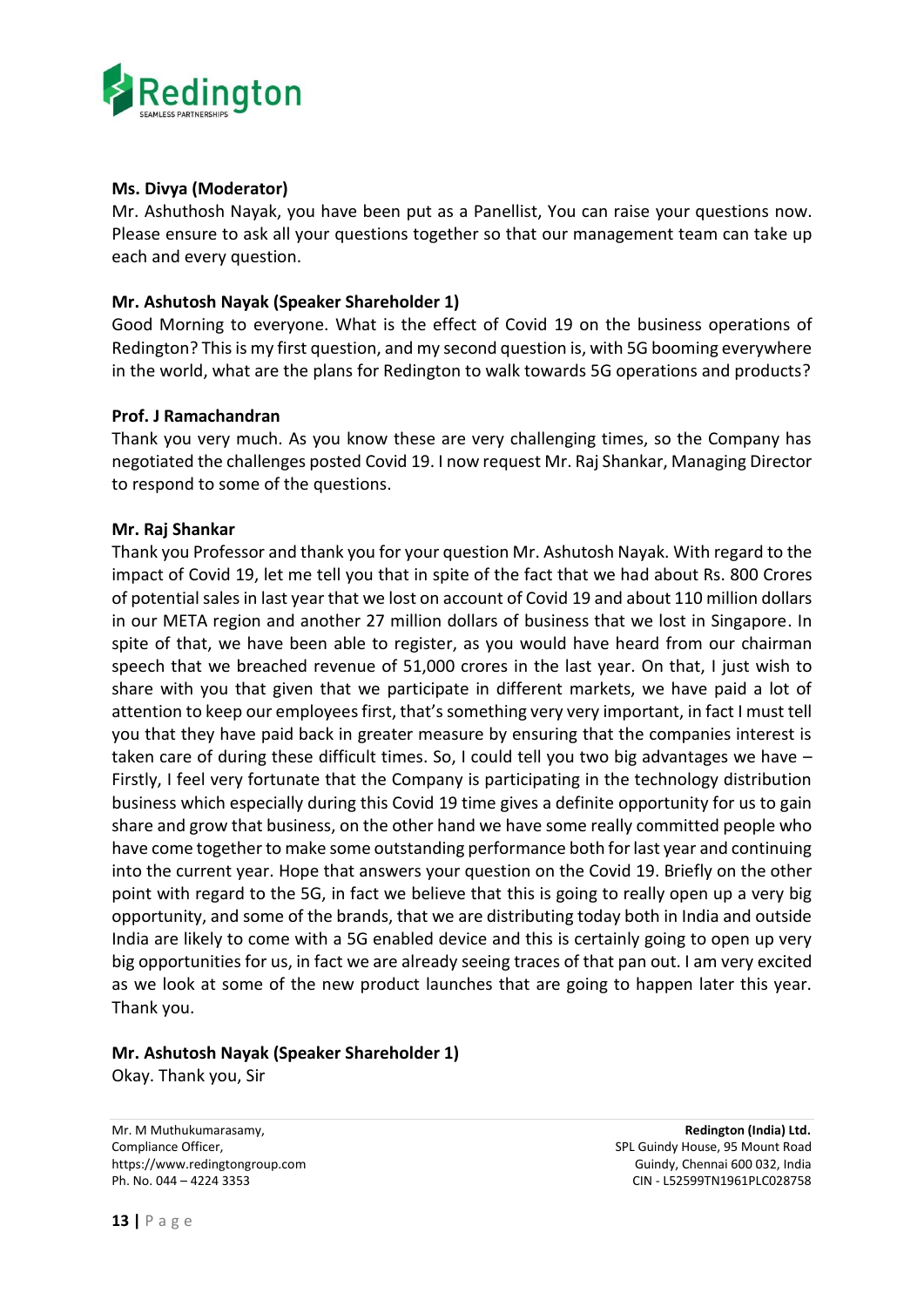

## **Ms. Divya (Moderator)**

Mr. Ashuthosh Nayak, you have been put as a Panellist, You can raise your questions now. Please ensure to ask all your questions together so that our management team can take up each and every question.

## **Mr. Ashutosh Nayak (Speaker Shareholder 1)**

Good Morning to everyone. What is the effect of Covid 19 on the business operations of Redington? This is my first question, and my second question is, with 5G booming everywhere in the world, what are the plans for Redington to walk towards 5G operations and products?

## **Prof. J Ramachandran**

Thank you very much. As you know these are very challenging times, so the Company has negotiated the challenges posted Covid 19. I now request Mr. Raj Shankar, Managing Director to respond to some of the questions.

## **Mr. Raj Shankar**

Thank you Professor and thank you for your question Mr. Ashutosh Nayak. With regard to the impact of Covid 19, let me tell you that in spite of the fact that we had about Rs. 800 Crores of potential sales in last year that we lost on account of Covid 19 and about 110 million dollars in our META region and another 27 million dollars of business that we lost in Singapore. In spite of that, we have been able to register, as you would have heard from our chairman speech that we breached revenue of 51,000 crores in the last year. On that, I just wish to share with you that given that we participate in different markets, we have paid a lot of attention to keep our employees first, that's something very very important, in fact I must tell you that they have paid back in greater measure by ensuring that the companies interest is taken care of during these difficult times. So, I could tell you two big advantages we have – Firstly, I feel very fortunate that the Company is participating in the technology distribution business which especially during this Covid 19 time gives a definite opportunity for us to gain share and grow that business, on the other hand we have some really committed people who have come together to make some outstanding performance both for last year and continuing into the current year. Hope that answers your question on the Covid 19. Briefly on the other point with regard to the 5G, in fact we believe that this is going to really open up a very big opportunity, and some of the brands, that we are distributing today both in India and outside India are likely to come with a 5G enabled device and this is certainly going to open up very big opportunities for us, in fact we are already seeing traces of that pan out. I am very excited as we look at some of the new product launches that are going to happen later this year. Thank you.

## **Mr. Ashutosh Nayak (Speaker Shareholder 1)**

Okay. Thank you, Sir

Mr. M Muthukumarasamy, **Redington (India) Ltd.** Compliance Officer, Split Guindy House, 95 Mount Road https://www.redingtongroup.com example and the state of the Guindy, Chennai 600 032, India Ph. No. 044 – 4224 3353 CIN - L52599TN1961PLC028758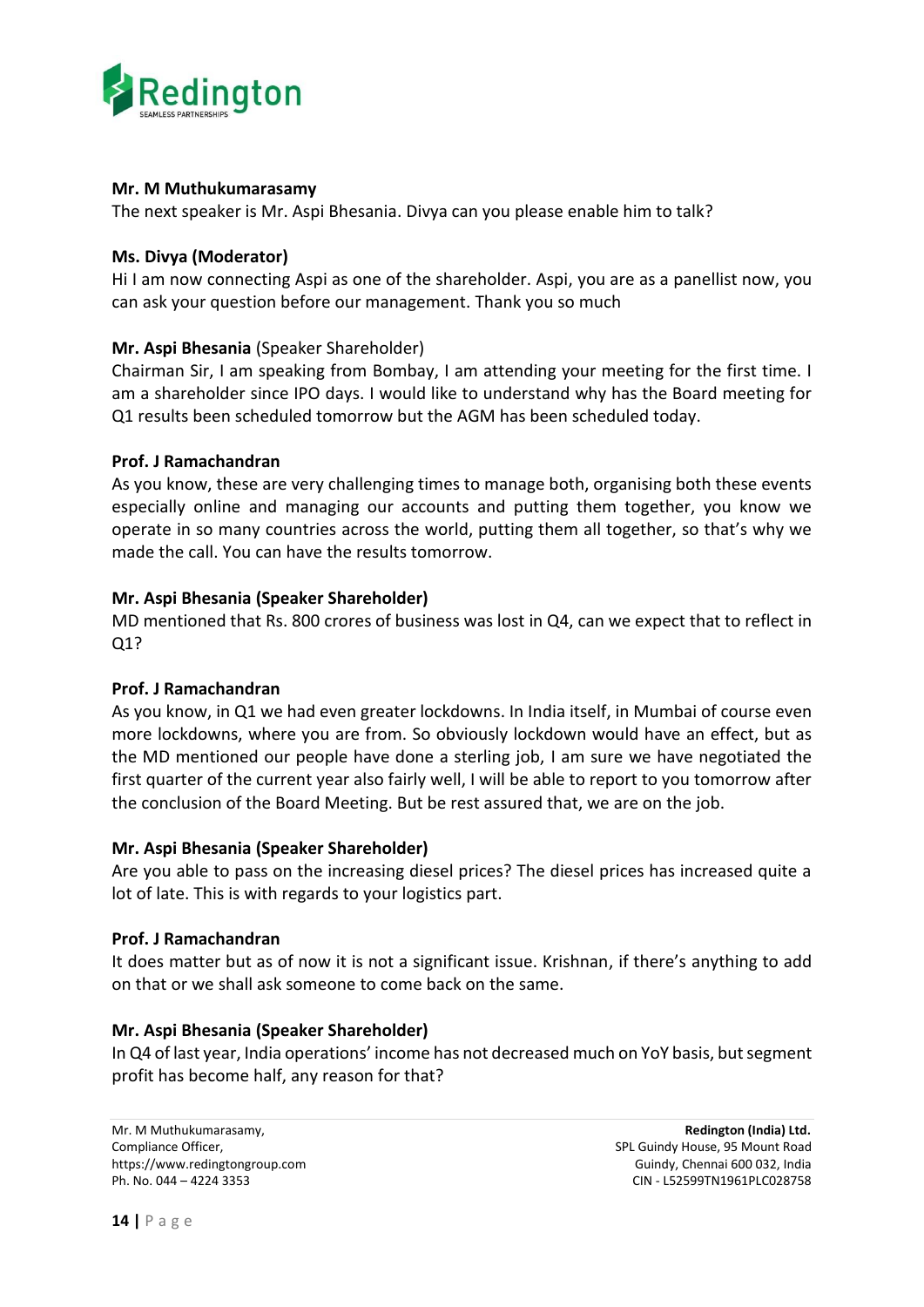

## **Mr. M Muthukumarasamy**

The next speaker is Mr. Aspi Bhesania. Divya can you please enable him to talk?

## **Ms. Divya (Moderator)**

Hi I am now connecting Aspi as one of the shareholder. Aspi, you are as a panellist now, you can ask your question before our management. Thank you so much

## **Mr. Aspi Bhesania** (Speaker Shareholder)

Chairman Sir, I am speaking from Bombay, I am attending your meeting for the first time. I am a shareholder since IPO days. I would like to understand why has the Board meeting for Q1 results been scheduled tomorrow but the AGM has been scheduled today.

## **Prof. J Ramachandran**

As you know, these are very challenging times to manage both, organising both these events especially online and managing our accounts and putting them together, you know we operate in so many countries across the world, putting them all together, so that's why we made the call. You can have the results tomorrow.

## **Mr. Aspi Bhesania (Speaker Shareholder)**

MD mentioned that Rs. 800 crores of business was lost in Q4, can we expect that to reflect in Q1?

## **Prof. J Ramachandran**

As you know, in Q1 we had even greater lockdowns. In India itself, in Mumbai of course even more lockdowns, where you are from. So obviously lockdown would have an effect, but as the MD mentioned our people have done a sterling job, I am sure we have negotiated the first quarter of the current year also fairly well, I will be able to report to you tomorrow after the conclusion of the Board Meeting. But be rest assured that, we are on the job.

## **Mr. Aspi Bhesania (Speaker Shareholder)**

Are you able to pass on the increasing diesel prices? The diesel prices has increased quite a lot of late. This is with regards to your logistics part.

## **Prof. J Ramachandran**

It does matter but as of now it is not a significant issue. Krishnan, if there's anything to add on that or we shall ask someone to come back on the same.

## **Mr. Aspi Bhesania (Speaker Shareholder)**

In Q4 of last year, India operations' income has not decreased much on YoY basis, but segment profit has become half, any reason for that?

Mr. M Muthukumarasamy, **Redington (India) Ltd.** Compliance Officer, Split Guindy House, 95 Mount Road https://www.redingtongroup.com example and the state of Guindy, Chennai 600 032, India Ph. No. 044 – 4224 3353 CIN - L52599TN1961PLC028758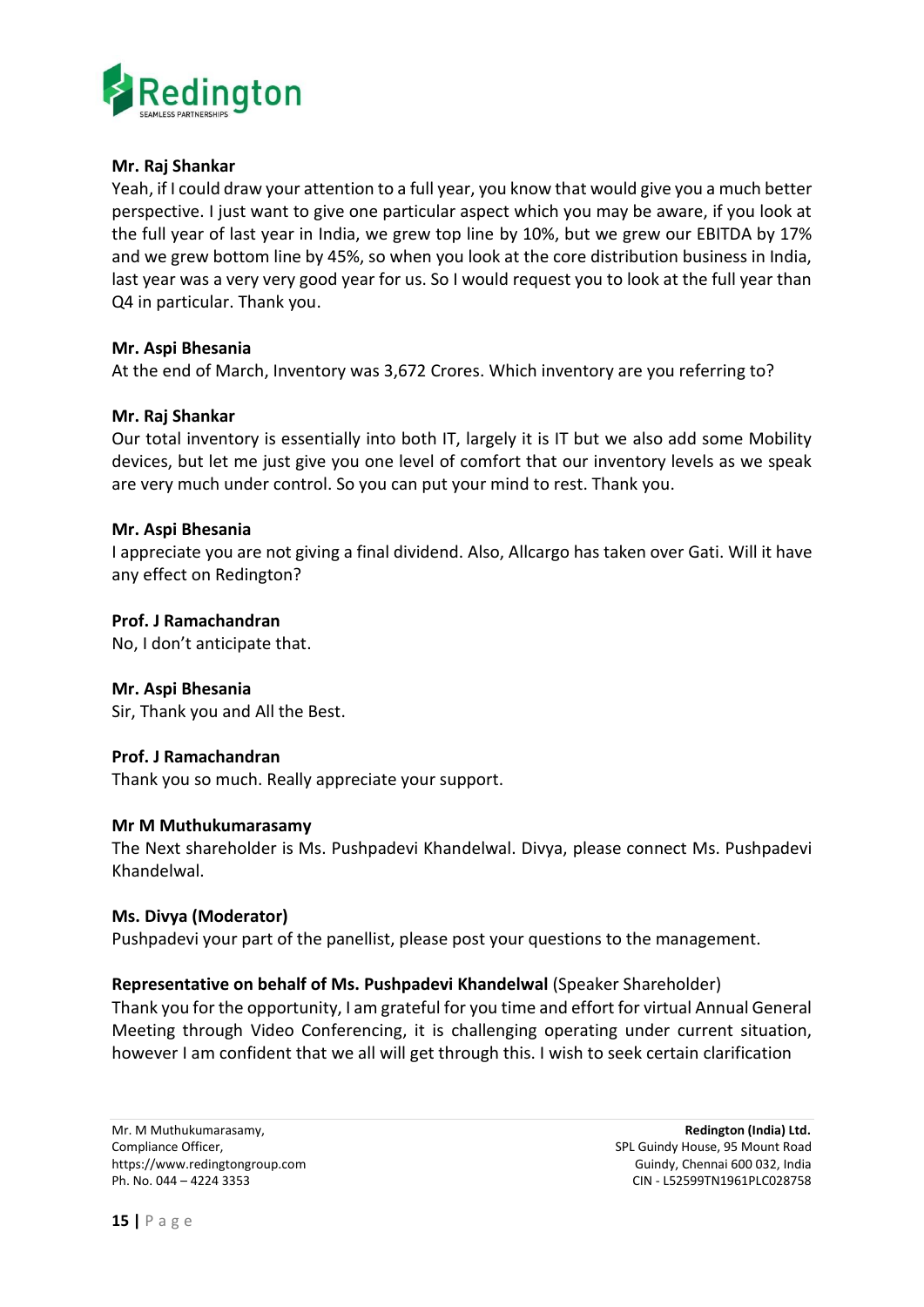

## **Mr. Raj Shankar**

Yeah, if I could draw your attention to a full year, you know that would give you a much better perspective. I just want to give one particular aspect which you may be aware, if you look at the full year of last year in India, we grew top line by 10%, but we grew our EBITDA by 17% and we grew bottom line by 45%, so when you look at the core distribution business in India, last year was a very very good year for us. So I would request you to look at the full year than Q4 in particular. Thank you.

## **Mr. Aspi Bhesania**

At the end of March, Inventory was 3,672 Crores. Which inventory are you referring to?

## **Mr. Raj Shankar**

Our total inventory is essentially into both IT, largely it is IT but we also add some Mobility devices, but let me just give you one level of comfort that our inventory levels as we speak are very much under control. So you can put your mind to rest. Thank you.

## **Mr. Aspi Bhesania**

I appreciate you are not giving a final dividend. Also, Allcargo has taken over Gati. Will it have any effect on Redington?

## **Prof. J Ramachandran**

No, I don't anticipate that.

#### **Mr. Aspi Bhesania**

Sir, Thank you and All the Best.

## **Prof. J Ramachandran**

Thank you so much. Really appreciate your support.

#### **Mr M Muthukumarasamy**

The Next shareholder is Ms. Pushpadevi Khandelwal. Divya, please connect Ms. Pushpadevi Khandelwal.

#### **Ms. Divya (Moderator)**

Pushpadevi your part of the panellist, please post your questions to the management.

## **Representative on behalf of Ms. Pushpadevi Khandelwal** (Speaker Shareholder)

Thank you for the opportunity, I am grateful for you time and effort for virtual Annual General Meeting through Video Conferencing, it is challenging operating under current situation, however I am confident that we all will get through this. I wish to seek certain clarification

Mr. M Muthukumarasamy, **Redington (India) Ltd.** Compliance Officer, Split Guindy House, 95 Mount Road https://www.redingtongroup.com example and the state of Guindy, Chennai 600 032, India Ph. No. 044 – 4224 3353 CIN - L52599TN1961PLC028758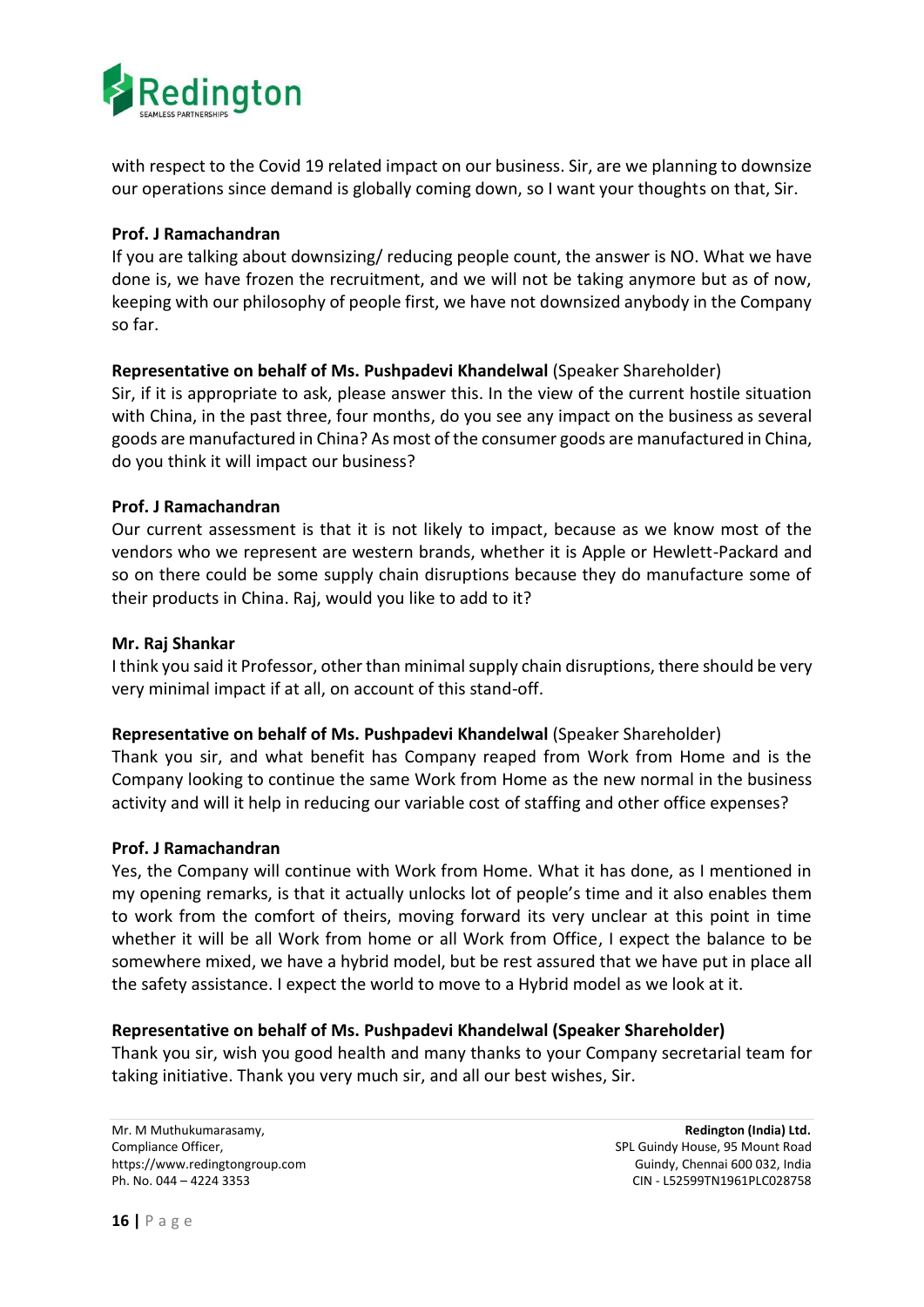

with respect to the Covid 19 related impact on our business. Sir, are we planning to downsize our operations since demand is globally coming down, so I want your thoughts on that, Sir.

## **Prof. J Ramachandran**

If you are talking about downsizing/ reducing people count, the answer is NO. What we have done is, we have frozen the recruitment, and we will not be taking anymore but as of now, keeping with our philosophy of people first, we have not downsized anybody in the Company so far.

## **Representative on behalf of Ms. Pushpadevi Khandelwal** (Speaker Shareholder)

Sir, if it is appropriate to ask, please answer this. In the view of the current hostile situation with China, in the past three, four months, do you see any impact on the business as several goods are manufactured in China? As most of the consumer goods are manufactured in China, do you think it will impact our business?

## **Prof. J Ramachandran**

Our current assessment is that it is not likely to impact, because as we know most of the vendors who we represent are western brands, whether it is Apple or Hewlett-Packard and so on there could be some supply chain disruptions because they do manufacture some of their products in China. Raj, would you like to add to it?

## **Mr. Raj Shankar**

I think you said it Professor, other than minimal supply chain disruptions, there should be very very minimal impact if at all, on account of this stand-off.

## **Representative on behalf of Ms. Pushpadevi Khandelwal** (Speaker Shareholder)

Thank you sir, and what benefit has Company reaped from Work from Home and is the Company looking to continue the same Work from Home as the new normal in the business activity and will it help in reducing our variable cost of staffing and other office expenses?

#### **Prof. J Ramachandran**

Yes, the Company will continue with Work from Home. What it has done, as I mentioned in my opening remarks, is that it actually unlocks lot of people's time and it also enables them to work from the comfort of theirs, moving forward its very unclear at this point in time whether it will be all Work from home or all Work from Office, I expect the balance to be somewhere mixed, we have a hybrid model, but be rest assured that we have put in place all the safety assistance. I expect the world to move to a Hybrid model as we look at it.

## **Representative on behalf of Ms. Pushpadevi Khandelwal (Speaker Shareholder)**

Thank you sir, wish you good health and many thanks to your Company secretarial team for taking initiative. Thank you very much sir, and all our best wishes, Sir.

Mr. M Muthukumarasamy, **Redington (India) Ltd.** Compliance Officer, SPL Guindy House, 95 Mount Road https://www.redingtongroup.com example and the state of Guindy, Chennai 600 032, India Ph. No. 044 – 4224 3353 CIN - L52599TN1961PLC028758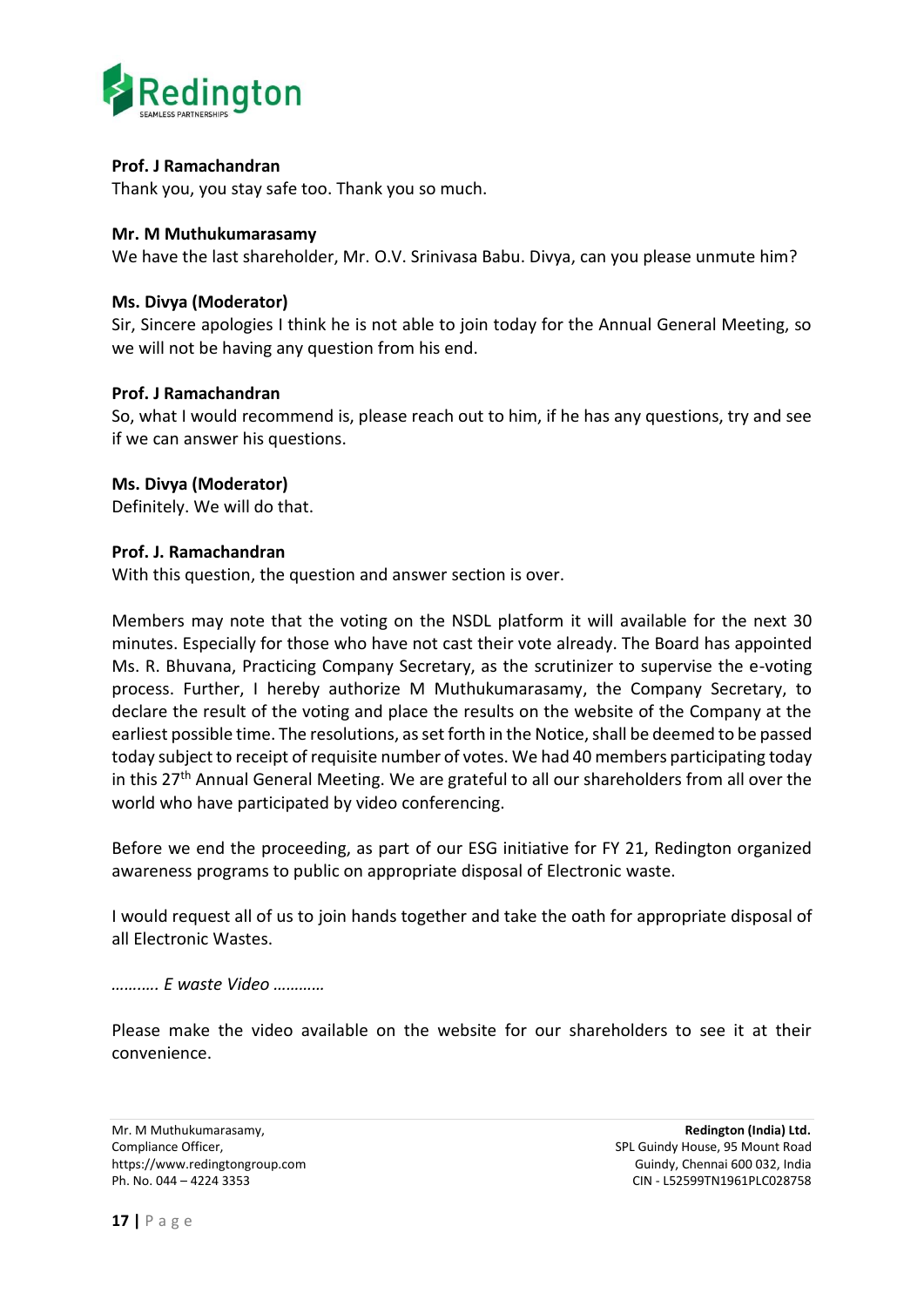

## **Prof. J Ramachandran**

Thank you, you stay safe too. Thank you so much.

#### **Mr. M Muthukumarasamy**

We have the last shareholder, Mr. O.V. Srinivasa Babu. Divya, can you please unmute him?

## **Ms. Divya (Moderator)**

Sir, Sincere apologies I think he is not able to join today for the Annual General Meeting, so we will not be having any question from his end.

## **Prof. J Ramachandran**

So, what I would recommend is, please reach out to him, if he has any questions, try and see if we can answer his questions.

## **Ms. Divya (Moderator)**

Definitely. We will do that.

## **Prof. J. Ramachandran**

With this question, the question and answer section is over.

Members may note that the voting on the NSDL platform it will available for the next 30 minutes. Especially for those who have not cast their vote already. The Board has appointed Ms. R. Bhuvana, Practicing Company Secretary, as the scrutinizer to supervise the e-voting process. Further, I hereby authorize M Muthukumarasamy, the Company Secretary, to declare the result of the voting and place the results on the website of the Company at the earliest possible time. The resolutions, as set forth in the Notice, shall be deemed to be passed today subject to receipt of requisite number of votes. We had 40 members participating today in this  $27<sup>th</sup>$  Annual General Meeting. We are grateful to all our shareholders from all over the world who have participated by video conferencing.

Before we end the proceeding, as part of our ESG initiative for FY 21, Redington organized awareness programs to public on appropriate disposal of Electronic waste.

I would request all of us to join hands together and take the oath for appropriate disposal of all Electronic Wastes.

#### *…….…. E waste Video …………*

Please make the video available on the website for our shareholders to see it at their convenience.

Mr. M Muthukumarasamy, **Redington (India) Ltd.**